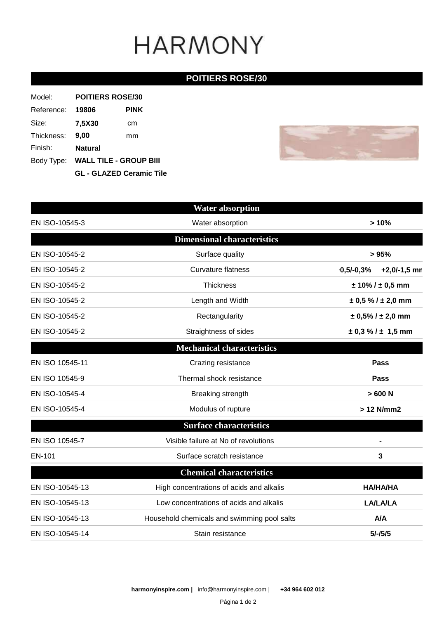# **HARMONY**

### **POITIERS ROSE/30**

| Model:     | <b>POITIERS ROSE/30</b>           |      |  |
|------------|-----------------------------------|------|--|
| Reference: | 19806                             | PINK |  |
| Size:      | 7,5X30                            | cm   |  |
| Thickness: | 9.00                              | mm   |  |
| Finish:    | <b>Natural</b>                    |      |  |
|            | Body Type: WALL TILE - GROUP BIII |      |  |
|            | <b>GL - GLAZED Ceramic Tile</b>   |      |  |



|                 | <b>Water absorption</b>                     |                               |
|-----------------|---------------------------------------------|-------------------------------|
| EN ISO-10545-3  | Water absorption                            | >10%                          |
|                 | <b>Dimensional characteristics</b>          |                               |
| EN ISO-10545-2  | Surface quality                             | >95%                          |
| EN ISO-10545-2  | <b>Curvature flatness</b>                   | $0,5/-0,3%$<br>$+2,0/-1,5$ mn |
| EN ISO-10545-2  | Thickness                                   | $± 10\% / ± 0.5$ mm           |
| EN ISO-10545-2  | Length and Width                            | $\pm$ 0,5 % / $\pm$ 2,0 mm    |
| EN ISO-10545-2  | Rectangularity                              | $\pm$ 0,5% / $\pm$ 2,0 mm     |
| EN ISO-10545-2  | Straightness of sides                       | $\pm$ 0,3 % / $\pm$ 1,5 mm    |
|                 | <b>Mechanical characteristics</b>           |                               |
| EN ISO 10545-11 | Crazing resistance                          | Pass                          |
| EN ISO 10545-9  | Thermal shock resistance                    | Pass                          |
| EN ISO-10545-4  | Breaking strength                           | >600 N                        |
| EN ISO-10545-4  | Modulus of rupture                          | > 12 N/mm2                    |
|                 | <b>Surface characteristics</b>              |                               |
| EN ISO 10545-7  | Visible failure at No of revolutions        |                               |
| EN-101          | Surface scratch resistance                  | 3                             |
|                 | <b>Chemical characteristics</b>             |                               |
| EN ISO-10545-13 | High concentrations of acids and alkalis    | <b>HA/HA/HA</b>               |
| EN ISO-10545-13 | Low concentrations of acids and alkalis     | <b>LA/LA/LA</b>               |
| EN ISO-10545-13 | Household chemicals and swimming pool salts | <b>A/A</b>                    |
| EN ISO-10545-14 | Stain resistance                            | $5/-/5/5$                     |